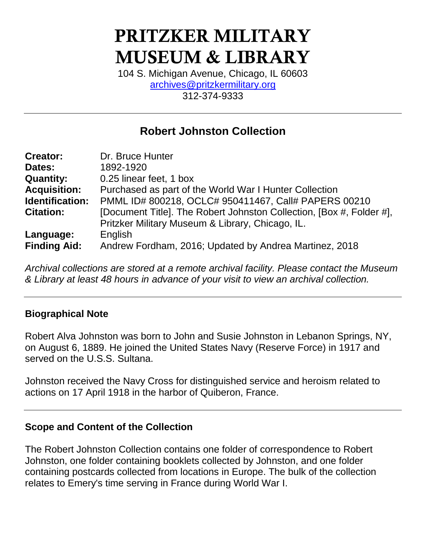# PRITZKER MILITARY MUSEUM & LIBRARY

104 S. Michigan Avenue, Chicago, IL 60603 [archives@pritzkermilitary.org](mailto:archives@pritzkermilitary.org) 312-374-9333

# **Robert Johnston Collection**

| <b>Creator:</b>     | Dr. Bruce Hunter                                                     |
|---------------------|----------------------------------------------------------------------|
| Dates:              | 1892-1920                                                            |
| <b>Quantity:</b>    | 0.25 linear feet, 1 box                                              |
| <b>Acquisition:</b> | Purchased as part of the World War I Hunter Collection               |
| Identification:     | PMML ID# 800218, OCLC# 950411467, Call# PAPERS 00210                 |
| <b>Citation:</b>    | [Document Title]. The Robert Johnston Collection, [Box #, Folder #], |
|                     | Pritzker Military Museum & Library, Chicago, IL.                     |
| Language:           | English                                                              |
| <b>Finding Aid:</b> | Andrew Fordham, 2016; Updated by Andrea Martinez, 2018               |

*Archival collections are stored at a remote archival facility. Please contact the Museum & Library at least 48 hours in advance of your visit to view an archival collection.*

### **Biographical Note**

Robert Alva Johnston was born to John and Susie Johnston in Lebanon Springs, NY, on August 6, 1889. He joined the United States Navy (Reserve Force) in 1917 and served on the U.S.S. Sultana.

Johnston received the Navy Cross for distinguished service and heroism related to actions on 17 April 1918 in the harbor of Quiberon, France.

### **Scope and Content of the Collection**

The Robert Johnston Collection contains one folder of correspondence to Robert Johnston, one folder containing booklets collected by Johnston, and one folder containing postcards collected from locations in Europe. The bulk of the collection relates to Emery's time serving in France during World War I.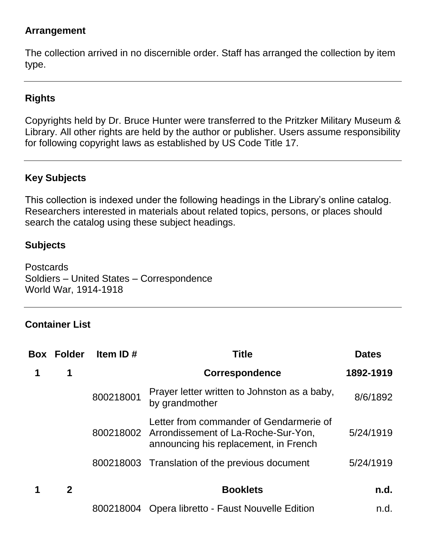## **Arrangement**

The collection arrived in no discernible order. Staff has arranged the collection by item type.

# **Rights**

Copyrights held by Dr. Bruce Hunter were transferred to the Pritzker Military Museum & Library. All other rights are held by the author or publisher. Users assume responsibility for following copyright laws as established by US Code Title 17.

# **Key Subjects**

This collection is indexed under the following headings in the Library's online catalog. Researchers interested in materials about related topics, persons, or places should search the catalog using these subject headings.

### **Subjects**

Postcards Soldiers – United States – Correspondence World War, 1914-1918

### **Container List**

| <b>Box Folder</b> | Item ID $#$ | <b>Title</b>                                                                                                                      | <b>Dates</b> |
|-------------------|-------------|-----------------------------------------------------------------------------------------------------------------------------------|--------------|
| 1                 |             | Correspondence                                                                                                                    | 1892-1919    |
|                   | 800218001   | Prayer letter written to Johnston as a baby,<br>by grandmother                                                                    | 8/6/1892     |
|                   |             | Letter from commander of Gendarmerie of<br>800218002 Arrondissement of La-Roche-Sur-Yon,<br>announcing his replacement, in French | 5/24/1919    |
|                   |             | 800218003 Translation of the previous document                                                                                    | 5/24/1919    |
| $\mathbf{2}$      |             | <b>Booklets</b>                                                                                                                   | n.d.         |
|                   |             | 800218004 Opera libretto - Faust Nouvelle Edition                                                                                 | n.d.         |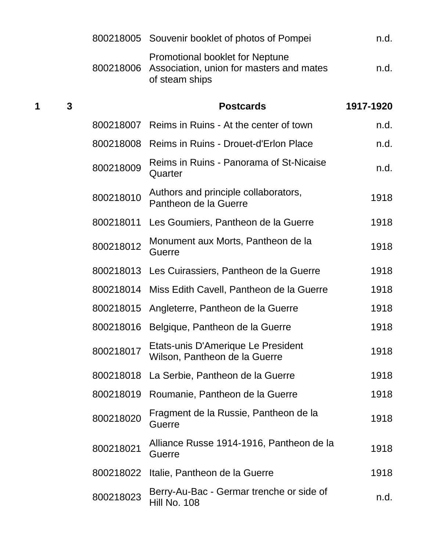|   |                |           | 800218005 Souvenir booklet of photos of Pompei                                                       | n.d.      |
|---|----------------|-----------|------------------------------------------------------------------------------------------------------|-----------|
|   |                | 800218006 | <b>Promotional booklet for Neptune</b><br>Association, union for masters and mates<br>of steam ships | n.d.      |
| 1 | $\overline{3}$ |           | <b>Postcards</b>                                                                                     | 1917-1920 |
|   |                | 800218007 | Reims in Ruins - At the center of town                                                               | n.d.      |
|   |                | 800218008 | Reims in Ruins - Drouet-d'Erlon Place                                                                | n.d.      |
|   |                | 800218009 | Reims in Ruins - Panorama of St-Nicaise<br>Quarter                                                   | n.d.      |
|   |                | 800218010 | Authors and principle collaborators,<br>Pantheon de la Guerre                                        | 1918      |
|   |                | 800218011 | Les Goumiers, Pantheon de la Guerre                                                                  | 1918      |
|   |                | 800218012 | Monument aux Morts, Pantheon de la<br>Guerre                                                         | 1918      |
|   |                |           | 800218013 Les Cuirassiers, Pantheon de la Guerre                                                     | 1918      |
|   |                |           | 800218014 Miss Edith Cavell, Pantheon de la Guerre                                                   | 1918      |
|   |                |           | 800218015 Angleterre, Pantheon de la Guerre                                                          | 1918      |
|   |                |           | 800218016 Belgique, Pantheon de la Guerre                                                            | 1918      |
|   |                | 800218017 | Etats-unis D'Amerique Le President<br>Wilson, Pantheon de la Guerre                                  | 1918      |
|   |                | 800218018 | La Serbie, Pantheon de la Guerre                                                                     | 1918      |
|   |                | 800218019 | Roumanie, Pantheon de la Guerre                                                                      | 1918      |
|   |                | 800218020 | Fragment de la Russie, Pantheon de la<br><b>Guerre</b>                                               | 1918      |
|   |                | 800218021 | Alliance Russe 1914-1916, Pantheon de la<br><b>Guerre</b>                                            | 1918      |
|   |                | 800218022 | Italie, Pantheon de la Guerre                                                                        | 1918      |
|   |                | 800218023 | Berry-Au-Bac - Germar trenche or side of<br>Hill No. 108                                             | n.d.      |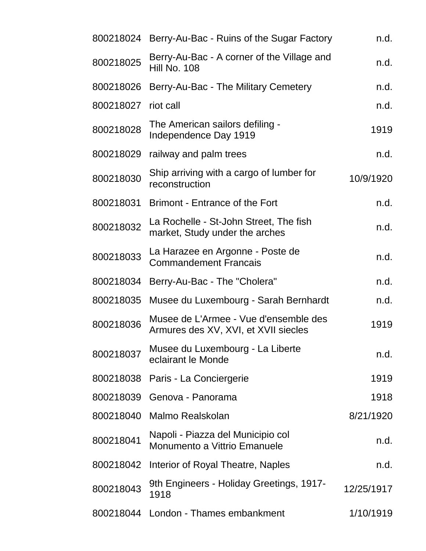| 800218024 Berry-Au-Bac - Ruins of the Sugar Factory                           | n.d.       |
|-------------------------------------------------------------------------------|------------|
| Berry-Au-Bac - A corner of the Village and<br><b>Hill No. 108</b>             | n.d.       |
| Berry-Au-Bac - The Military Cemetery                                          | n.d.       |
| riot call                                                                     | n.d.       |
| The American sailors defiling -<br>Independence Day 1919                      | 1919       |
| railway and palm trees                                                        | n.d.       |
| Ship arriving with a cargo of lumber for<br>reconstruction                    | 10/9/1920  |
| <b>Brimont - Entrance of the Fort</b>                                         | n.d.       |
| La Rochelle - St-John Street, The fish<br>market, Study under the arches      | n.d.       |
| La Harazee en Argonne - Poste de<br><b>Commandement Francais</b>              | n.d.       |
| Berry-Au-Bac - The "Cholera"                                                  | n.d.       |
| Musee du Luxembourg - Sarah Bernhardt                                         | n.d.       |
| Musee de L'Armee - Vue d'ensemble des<br>Armures des XV, XVI, et XVII siecles | 1919       |
| Musee du Luxembourg - La Liberte<br>eclairant le Monde                        | n.d.       |
| Paris - La Conciergerie                                                       | 1919       |
| Genova - Panorama                                                             | 1918       |
| Malmo Realskolan                                                              | 8/21/1920  |
| Napoli - Piazza del Municipio col<br>Monumento a Vittrio Emanuele             | n.d.       |
| Interior of Royal Theatre, Naples                                             | n.d.       |
| 9th Engineers - Holiday Greetings, 1917-<br>1918                              | 12/25/1917 |
| 800218044 London - Thames embankment                                          | 1/10/1919  |
|                                                                               |            |